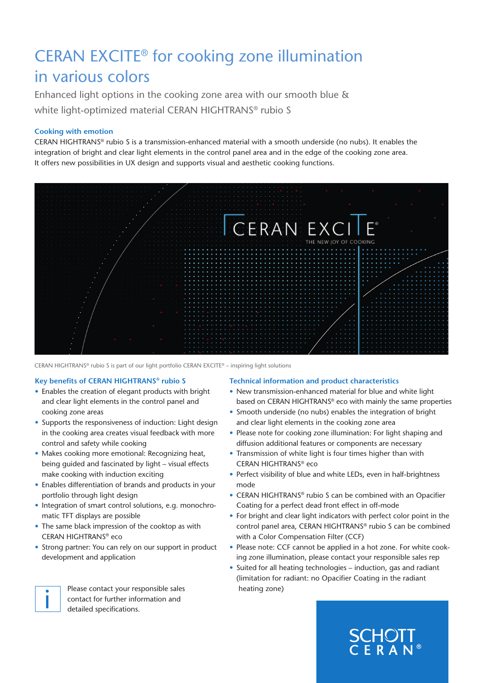# CERAN EXCITE® for cooking zone illumination in various colors

Enhanced light options in the cooking zone area with our smooth blue & white light-optimized material CERAN HIGHTRANS® rubio S

# **Cooking with emotion**

CERAN HIGHTRANS® rubio S is a transmission-enhanced material with a smooth underside (no nubs). It enables the integration of bright and clear light elements in the control panel area and in the edge of the cooking zone area. It offers new possibilities in UX design and supports visual and aesthetic cooking functions.



CERAN HIGHTRANS® rubio S is part of our light portfolio CERAN EXCITE® – inspiring light solutions

### **Key benefits of CERAN HIGHTRANS® rubio S**

- Enables the creation of elegant products with bright and clear light elements in the control panel and cooking zone areas
- Supports the responsiveness of induction: Light design in the cooking area creates visual feedback with more control and safety while cooking
- Makes cooking more emotional: Recognizing heat, being guided and fascinated by light – visual effects make cooking with induction exciting
- Enables differentiation of brands and products in your portfolio through light design
- Integration of smart control solutions, e.g. monochromatic TFT displays are possible
- The same black impression of the cooktop as with CERAN HIGHTRANS® eco
- Strong partner: You can rely on our support in product development and application



Please contact your responsible sales contact for further information and Please contact your respectively.

### **Technical information and product characteristics**

- New transmission-enhanced material for blue and white light based on CERAN HIGHTRANS® eco with mainly the same properties
- Smooth underside (no nubs) enables the integration of bright and clear light elements in the cooking zone area
- Please note for cooking zone illumination: For light shaping and diffusion additional features or components are necessary
- Transmission of white light is four times higher than with CERAN HIGHTRANS® eco
- Perfect visibility of blue and white LEDs, even in half-brightness mode
- CERAN HIGHTRANS® rubio S can be combined with an Opacifier Coating for a perfect dead front effect in off-mode
- For bright and clear light indicators with perfect color point in the control panel area, CERAN HIGHTRANS® rubio S can be combined with a Color Compensation Filter (CCF)
- Please note: CCF cannot be applied in a hot zone. For white cooking zone illumination, please contact your responsible sales rep
- Suited for all heating technologies induction, gas and radiant (limitation for radiant: no Opacifier Coating in the radiant heating zone)